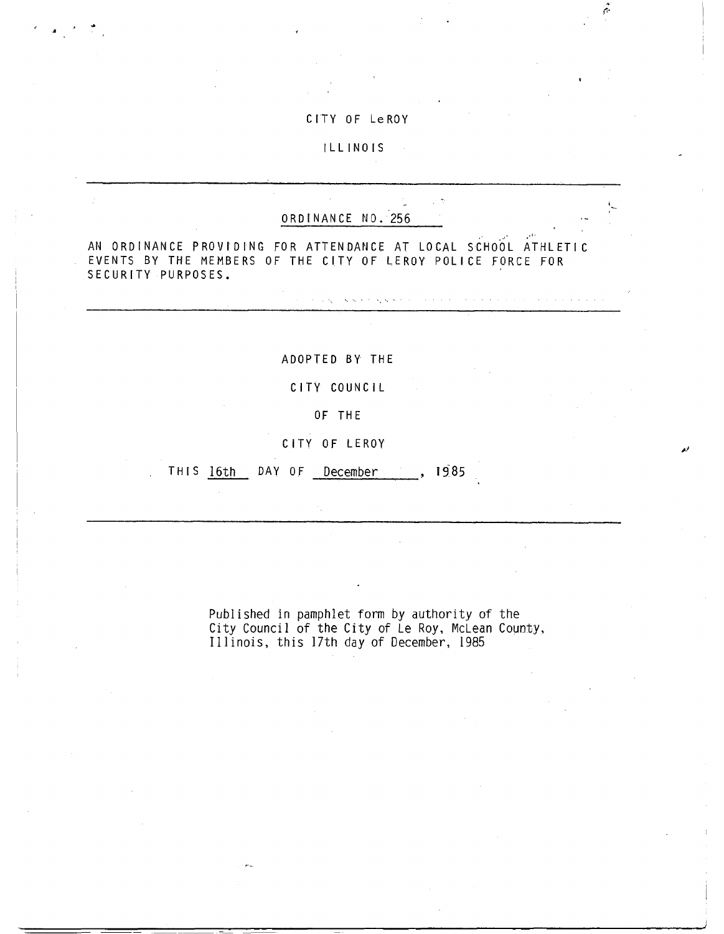## CITY OF Le ROY

ŕ.

والمتعاونة والمتعارف والمتعارف والمتعاونة والمتعارف والمتعارف

ILLINOIS

## ORDINANCE NO.'256

Controlled Artists

AN ORDINANCE PROVIDING FOR ATTENDANCE AT LOCAL SCHOOL ATHLETIC EVENTS BY THE MEMBERS OF THE CITY OF LEROY POLICE FORCE FOR SECURITY PURPOSES.

ADOPTED BY, THE

CITY COUNCIL

OF THE

CITY OF LEROY

THIS 16th DAY OF December , 1985

Published in pamphlet form by authority of the City Council of the City of Le Roy, McLean County, Illinois, this 17th day of December, 1985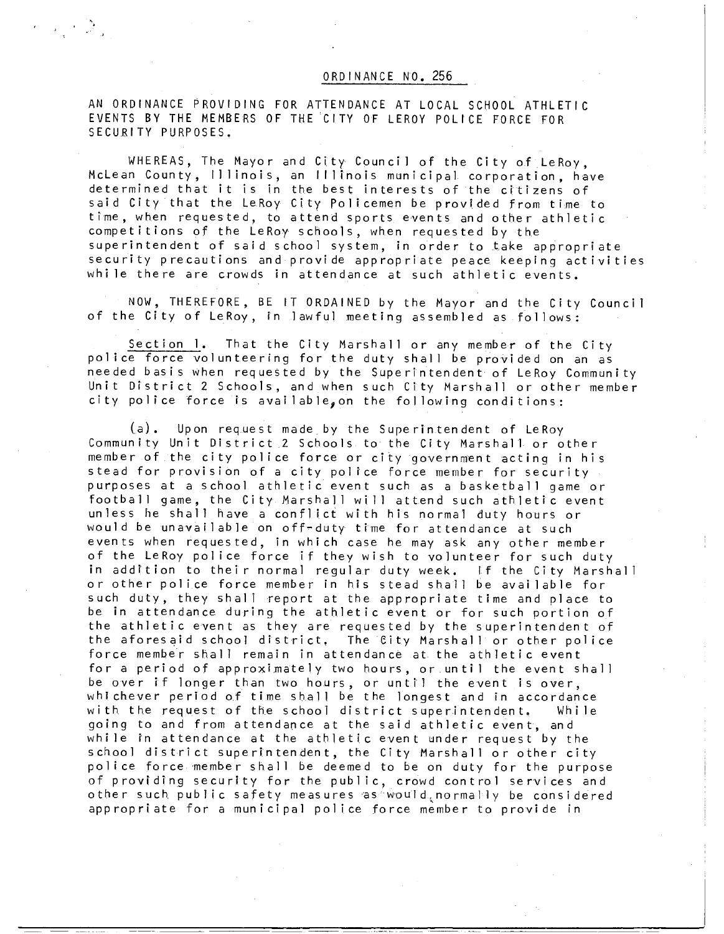## ORDINANCE NO. 256

AN ORDINANCE PROVIDING FOR ATTENDANCE AT LOCAL SCHOOL ATHLETIC EVENTS BY THE MEMBERS OF THE'CITY OF LEROY POLICE FORCE FOR SECURITY PURPOSES.

かんせき

WHEREAS, The Mayor and City Council of the City of LeRoy, McLean County, Illinois, an Illinois municipal corporation, have determined that it is in the best interests of the citizens of said City that the LeRoy City Policemen be provided from time to time, when requested, to attend sports events and other athletic competitions of the LeRoy schools, when requested by the superintendent of said school system, in order to take appropriate security precautions and provide appropriate peace keeping activities while there are crowds in attendance at such athletic events.

NOW, THEREFORE, BE IT ORDAINED by the Mayor and the City Council of the City of LeRoy, in lawful meeting assembled as follows:

Section I. That the City Marshall or any member of the City police force volunteering for the duty shall be provided on an as needed basis when requested by the Superintendent of LeRoy Community Unit District 2 Schools, and when such City Marshall or other member city police force is available, on the following conditions:

(a). Upon request made, by the Superintendent of LeRoy Community Unit District.2 Schools to the City Marshall or other member of the city police force or city government acting in his stead for provision of a city police force member for security purposes at a school athletic event such as a basketball game or football game, the City Marshall will attend such athletic event unless he shall have a conflict with his normal duty hours or would be unavailable on off-duty time for attendance at such events when requested, in which case he may ask any other member of the LeRoy police force if they wish to volunteer for such duty in addition to their normal regular duty week. If the City Marshall or other police force member in his stead shall be available for such duty, they shall report at the appropriate time and place to be in attendance during the athletic event or for such portion of the athletic event as they are requested by the superintendent of the aforesaid school district. The City Marshall or other police force member shall remain in attendance at the athletic event for a period of approximately two hours, or until the event shall be over if longer than two hours, or until the event is over, whichever period of time shall be the longest and in accordance with the request of the school district superintendent. While going to and from attendance at the said athletic event, and whi le in attendance at the athletic event under request by the school district superintendent, the City Marshall or other city police force member shall be deemed to be on duty for the purpose of providing security for the public, crowd control services and other such. public safety measures as'- would,normally be considered appropriate for a municipal police force member to provide in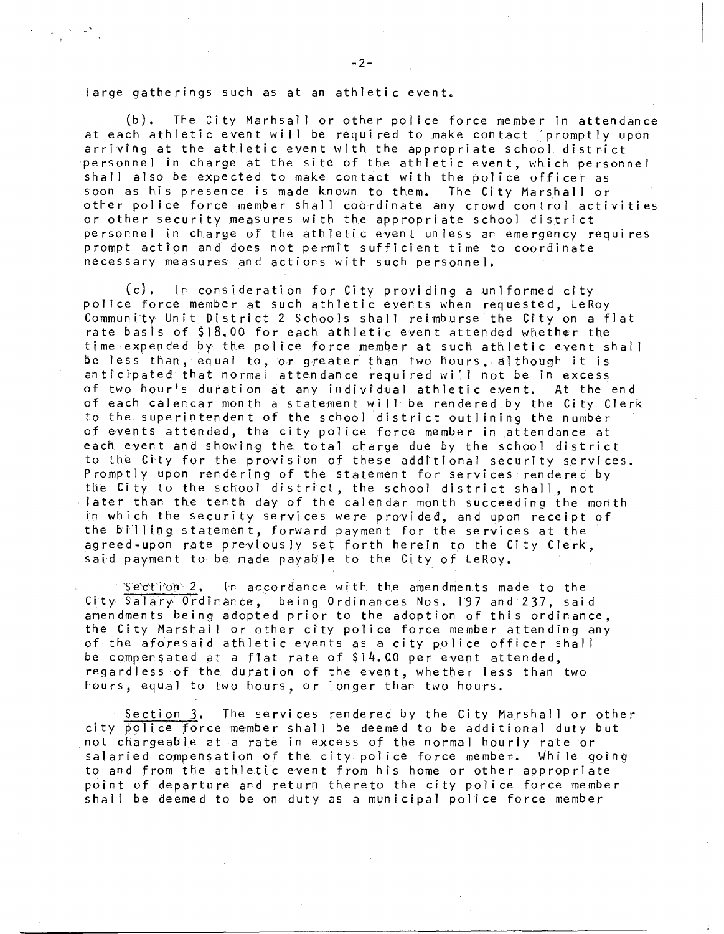large gatherings such as at an athletic event.

 $\mathcal{L} = \{ \mathcal{L} \mid \mathcal{L} \in \mathcal{L} \}$ 

(b). The City MarhsalI or other police force member in attendance at each athletic event will be required to make contact 'promptly upon arriving at the athletic event with the appropriate school district personnel in charge at the site of the athletic event, which personnel shall also be expected to make contact with the police officer as soon as his presence is made known to them. The City Marshall or other police force member shall coordinate any crowd control activities or other security measures with the appropriate school district personnel in charge of the athletic event unless an emergency requires prompt action and does not permit sufficient time to coordinate necessary measures and actions with such personnel.

 $(c)_+$  In consideration for City providing a uniformed city police force member at such athletic events when requested, LeRoy Community Unit District 2 Schools shall reimburse the City on a flat rate basis of \$18,00 for each, athletic event attended whether the time expended by the police force member at such athletic event shall be less than, equal to, or greater than two hours, although it is anticipated that normal attendance required will not be in excess of two hour's duration at any individual athletic event. At the end of each calendar month a statement will be rendered by the City Clerk to the superintendent of the school district outlining the number of events attended, the city police force member in attendance at each event and showing the. total charge due by the school district to the City for the provision of these additional security services. Promptly upon rendering of the statement for services rendered by the City to the school district, the school district shall, not later than the tenth day of the calendar month succeeding the month in which the security services were provided, and upon receipt of the billing statement, forward payment for the services at the agreed -upon rate previously set forth herein to the City Clerk, said payment to be made payable to the City of LeRoy.

Section  $2$ , In accordance with the amendments made to the City Salary Ordinance, being Ordinances Nos. 197 and 237, said amendments being adopted prior to the adoption of this ordinance, the City Marshall or other city police force member attending any of the aforesaid athletic events as a city police officer shall be compensated at a flat rate of  $$14.00$  per event attended, regardless of the duration of the event, whether less than two hours, equal to two hours, or longer than two hours.

Section 3. The services rendered by the City Marshall or other city police force member shall be deemed to be additional duty but not chargeable at a rate in excess of the normal hourly rate or salaried compensation of the city police force member. While going to and from the athletic event from his home or other appropriate point of departure and return thereto the city police force member shall be deemed to be on duty as a municipal police force member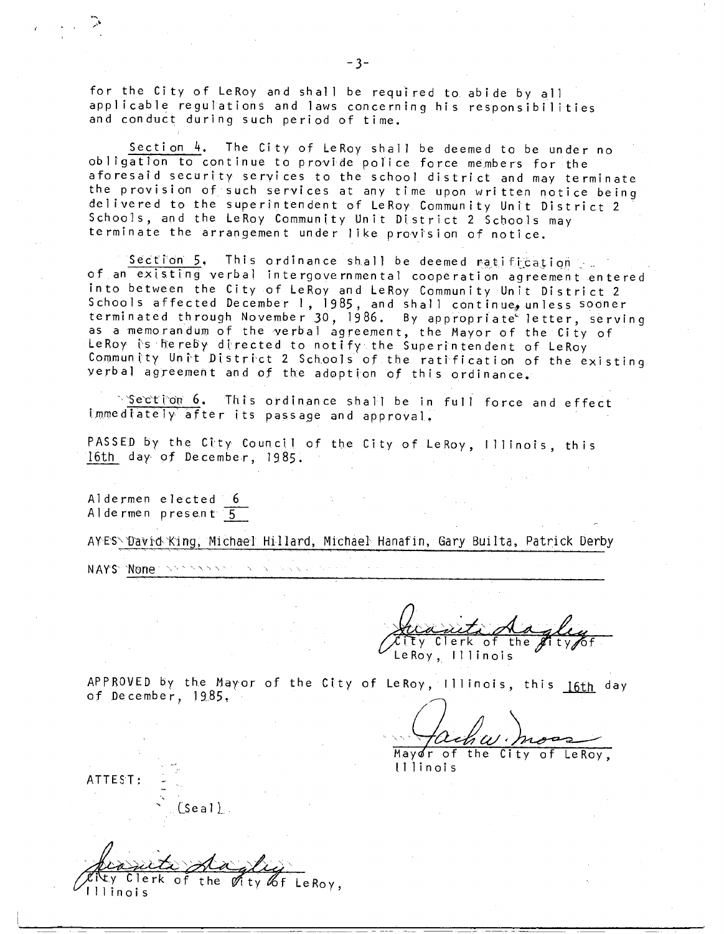for the City of LeRoy and shall be required to. abide by all applicable regulations and laws concerning his responsibilities and conduct during such period of time.

Section 4. The City of LeRoy shall be deemed to be under no obligation to continue to provide police force members for the aforesaid security services to the school district and may terminate the provision of such services at any time upon written notice being delivered to the superintendent of LeRoy Community Unit District 2 Schools, and the LeRoy Community Unit District 2 Schools may terminate the arrangement under like provision of notice.

Section 5, This ordinance shall be deemed ratification of an existing verbal intergovernmental cooperation agreement entered into between the City of LeRoy and LeRoy Community Unit District 2 Schools affected December 1, 1985, and shall continue, unless sooner terminated through November 30, 1986. By appropriate letter, serving as a memorandum of the verbal agreement, the Mayor of the City of LeRoy is hereby directed to notify the Superintendent of LeRoy Community Unit District 2 Schools of the ratification of the existing verbal agreement and of the adoption of this ordinance.

Section 6. This ordinance shall be in full force and effect immediately after its passage and approval.

PASSED by the City Council of the City of LeRoy, Illinois, this 16th day. of December, 1985.

Aldermen elected 6 Aldermen present 5

AYES\'David King, Michael Hillard, Michael Hanafin, Gary Builta, Patrick Derby

 $\sqrt{2}$ 

NAYS None **1, 1, 1, 1, 1, 1, 1, 1, 1, 1, 1** 

Ty Clerk of the  $\beta$ LeRoy, Illinois

APPROVED by the Mayor of the City of LeRoy, Illinois, this 16th day of December, 1985,

Mayor of the City of LeRoy, Illinois

ATTEST:

(Seal).

Clerk of the  $\mathscr{O}$ ity  $\mathscr{L}$ f LeRoy, Illinois